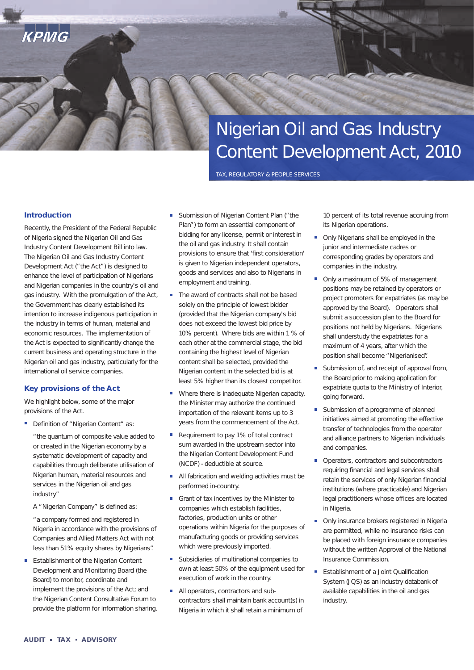# Nigerian Oil and Gas Industry Content Development Act, 2010

TAX, REGULATORY & PEOPLE SERVICES

## **Introduction**

КРМС

Recently, the President of the Federal Republic of Nigeria signed the Nigerian Oil and Gas Industry Content Development Bill into law. The Nigerian Oil and Gas Industry Content Development Act ("the Act") is designed to enhance the level of participation of Nigerians and Nigerian companies in the country's oil and gas industry. With the promulgation of the Act, the Government has clearly established its intention to increase indigenous participation in the industry in terms of human, material and economic resources. The implementation of the Act is expected to significantly change the current business and operating structure in the Nigerian oil and gas industry, particularly for the international oil service companies.

### **Key provisions of the Act**

We highlight below, some of the major provisions of the Act.

Definition of "Nigerian Content" as:

"the quantum of composite value added to or created in the Nigerian economy by a systematic development of capacity and capabilities through deliberate utilisation of Nigerian human, material resources and services in the Nigerian oil and gas industry"

A "Nigerian Company" is defined as:

"a company formed and registered in Nigeria in accordance with the provisions of Companies and Allied Matters Act with not less than 51% equity shares by Nigerians".

Establishment of the Nigerian Content Development and Monitoring Board (the Board) to monitor, coordinate and implement the provisions of the Act; and the Nigerian Content Consultative Forum to provide the platform for information sharing.

- Submission of Nigerian Content Plan ("the Plan") to form an essential component of bidding for any license, permit or interest in the oil and gas industry. It shall contain provisions to ensure that 'first consideration' is given to Nigerian independent operators, goods and services and also to Nigerians in employment and training.
- The award of contracts shall not be based solely on the principle of lowest bidder (provided that the Nigerian company's bid does not exceed the lowest bid price by 10% percent). Where bids are within 1 % of each other at the commercial stage, the bid containing the highest level of Nigerian content shall be selected, provided the Nigerian content in the selected bid is at least 5% higher than its closest competitor.
- Where there is inadequate Nigerian capacity, the Minister may authorize the continued importation of the relevant items up to 3 years from the commencement of the Act.
- $\mathcal{L}_{\mathcal{A}}$ Requirement to pay 1% of total contract sum awarded in the upstream sector into the Nigerian Content Development Fund (NCDF) - deductible at source.
- All fabrication and welding activities must be performed in-country.
- Grant of tax incentives by the Minister to companies which establish facilities, factories, production units or other operations within Nigeria for the purposes of manufacturing goods or providing services which were previously imported.
- Subsidiaries of multinational companies to own at least 50% of the equipment used for execution of work in the country.
- All operators, contractors and subcontractors shall maintain bank account(s) in Nigeria in which it shall retain a minimum of

10 percent of its total revenue accruing from its Nigerian operations.

- $\mathbf{r}$ Only Nigerians shall be employed in the junior and intermediate cadres or corresponding grades by operators and companies in the industry.
- Only a maximum of 5% of management positions may be retained by operators or project promoters for expatriates (as may be approved by the Board). Operators shall submit a succession plan to the Board for positions not held by Nigerians. Nigerians shall understudy the expatriates for a maximum of 4 years, after which the position shall become "Nigerianised".
- Submission of, and receipt of approval from, the Board prior to making application for expatriate quota to the Ministry of Interior, going forward.
- Ħ Submission of a programme of planned initiatives aimed at promoting the effective transfer of technologies from the operator and alliance partners to Nigerian individuals and companies.
- Operators, contractors and subcontractors requiring financial and legal services shall retain the services of only Nigerian financial institutions (where practicable) and Nigerian legal practitioners whose offices are located in Nigeria.
- Only insurance brokers registered in Nigeria are permitted, while no insurance risks can be placed with foreign insurance companies without the written Approval of the National Insurance Commission.
- Establishment of a Joint Qualification System (JQS) as an industry databank of available capabilities in the oil and gas industry.